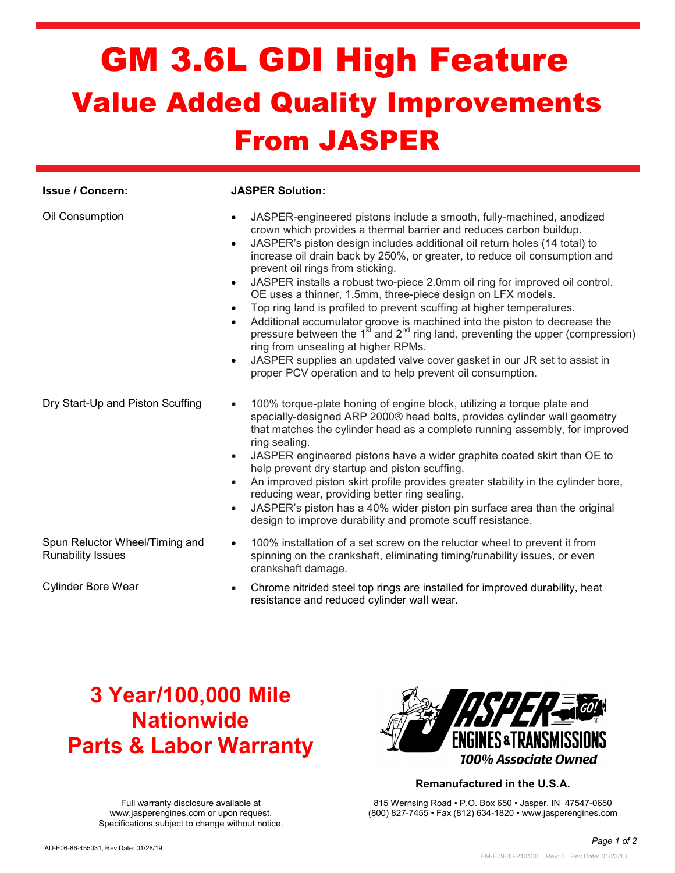## GM 3.6L GDI High Feature Value Added Quality Improvements From JASPER

| <b>Issue / Concern:</b>                                    | <b>JASPER Solution:</b>                                                                                                                                                                                                                                                                                                                                                                                                                                                                                                                                                                                                                                                                                                                                                                                                                                                                                                                                                                                                       |
|------------------------------------------------------------|-------------------------------------------------------------------------------------------------------------------------------------------------------------------------------------------------------------------------------------------------------------------------------------------------------------------------------------------------------------------------------------------------------------------------------------------------------------------------------------------------------------------------------------------------------------------------------------------------------------------------------------------------------------------------------------------------------------------------------------------------------------------------------------------------------------------------------------------------------------------------------------------------------------------------------------------------------------------------------------------------------------------------------|
| Oil Consumption                                            | JASPER-engineered pistons include a smooth, fully-machined, anodized<br>$\bullet$<br>crown which provides a thermal barrier and reduces carbon buildup.<br>JASPER's piston design includes additional oil return holes (14 total) to<br>$\bullet$<br>increase oil drain back by 250%, or greater, to reduce oil consumption and<br>prevent oil rings from sticking.<br>JASPER installs a robust two-piece 2.0mm oil ring for improved oil control.<br>$\bullet$<br>OE uses a thinner, 1.5mm, three-piece design on LFX models.<br>Top ring land is profiled to prevent scuffing at higher temperatures.<br>$\bullet$<br>Additional accumulator groove is machined into the piston to decrease the<br>$\bullet$<br>pressure between the $1^{\overline{5}t}$ and $2^{\overline{n}d}$ ring land, preventing the upper (compression)<br>ring from unsealing at higher RPMs.<br>JASPER supplies an updated valve cover gasket in our JR set to assist in<br>$\bullet$<br>proper PCV operation and to help prevent oil consumption. |
| Dry Start-Up and Piston Scuffing                           | 100% torque-plate honing of engine block, utilizing a torque plate and<br>specially-designed ARP 2000® head bolts, provides cylinder wall geometry<br>that matches the cylinder head as a complete running assembly, for improved<br>ring sealing.<br>JASPER engineered pistons have a wider graphite coated skirt than OE to<br>help prevent dry startup and piston scuffing.<br>An improved piston skirt profile provides greater stability in the cylinder bore,<br>$\bullet$<br>reducing wear, providing better ring sealing.<br>JASPER's piston has a 40% wider piston pin surface area than the original<br>$\bullet$<br>design to improve durability and promote scuff resistance.                                                                                                                                                                                                                                                                                                                                     |
| Spun Reluctor Wheel/Timing and<br><b>Runability Issues</b> | 100% installation of a set screw on the reluctor wheel to prevent it from<br>$\bullet$<br>spinning on the crankshaft, eliminating timing/runability issues, or even<br>crankshaft damage.                                                                                                                                                                                                                                                                                                                                                                                                                                                                                                                                                                                                                                                                                                                                                                                                                                     |

- 
- Cylinder Bore Wear **CHROCH CHROCH CHROCH CONCERT CONCERT** Cylinder Bore Wear Areat resistance and reduced cylinder wall wear.

## 3 Year/100,000 Mile Nationwide Parts & Labor Warranty

Full warranty disclosure available at www.jasperengines.com or upon request.



### Remanufactured in the U.S.A.

815 Wernsing Road • P.O. Box 650 • Jasper, IN 47547-0650 (800) 827-7455 • Fax (812) 634-1820 • www.jasperengines.com